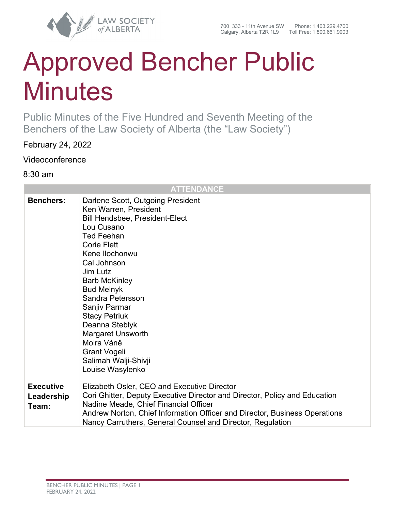

# Approved Bencher Public **Minutes**

Public Minutes of the Five Hundred and Seventh Meeting of the Benchers of the Law Society of Alberta (the "Law Society")

February 24, 2022

Videoconference

8:30 am

| <b>ATTENDANCE</b>                       |                                                                                                                                                                                                                                                                                                                                                                                                                                             |
|-----------------------------------------|---------------------------------------------------------------------------------------------------------------------------------------------------------------------------------------------------------------------------------------------------------------------------------------------------------------------------------------------------------------------------------------------------------------------------------------------|
| <b>Benchers:</b>                        | Darlene Scott, Outgoing President<br>Ken Warren, President<br>Bill Hendsbee, President-Elect<br>Lou Cusano<br><b>Ted Feehan</b><br><b>Corie Flett</b><br>Kene Ilochonwu<br>Cal Johnson<br>Jim Lutz<br><b>Barb McKinley</b><br><b>Bud Melnyk</b><br>Sandra Petersson<br>Sanjiv Parmar<br><b>Stacy Petriuk</b><br>Deanna Steblyk<br><b>Margaret Unsworth</b><br>Moira Váně<br><b>Grant Vogeli</b><br>Salimah Walji-Shivji<br>Louise Wasylenko |
| <b>Executive</b><br>Leadership<br>Team: | Elizabeth Osler, CEO and Executive Director<br>Cori Ghitter, Deputy Executive Director and Director, Policy and Education<br>Nadine Meade, Chief Financial Officer<br>Andrew Norton, Chief Information Officer and Director, Business Operations<br>Nancy Carruthers, General Counsel and Director, Regulation                                                                                                                              |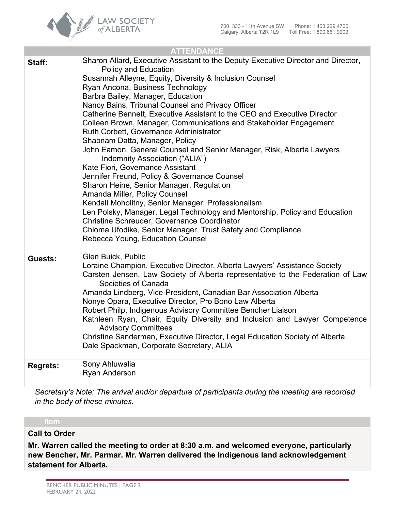

| <b>ATTENDANCE</b> |                                                                                                                                                                                                                                                                                                                                                                                                                                                                                                                                                                                                                                                                                                                                                                                                                                                                                                                                                                                                                                                                                                          |  |
|-------------------|----------------------------------------------------------------------------------------------------------------------------------------------------------------------------------------------------------------------------------------------------------------------------------------------------------------------------------------------------------------------------------------------------------------------------------------------------------------------------------------------------------------------------------------------------------------------------------------------------------------------------------------------------------------------------------------------------------------------------------------------------------------------------------------------------------------------------------------------------------------------------------------------------------------------------------------------------------------------------------------------------------------------------------------------------------------------------------------------------------|--|
| Staff:            | Sharon Allard, Executive Assistant to the Deputy Executive Director and Director,<br><b>Policy and Education</b><br>Susannah Alleyne, Equity, Diversity & Inclusion Counsel<br>Ryan Ancona, Business Technology<br>Barbra Bailey, Manager, Education<br>Nancy Bains, Tribunal Counsel and Privacy Officer<br>Catherine Bennett, Executive Assistant to the CEO and Executive Director<br>Colleen Brown, Manager, Communications and Stakeholder Engagement<br>Ruth Corbett, Governance Administrator<br>Shabnam Datta, Manager, Policy<br>John Eamon, General Counsel and Senior Manager, Risk, Alberta Lawyers<br>Indemnity Association ("ALIA")<br>Kate Fiori, Governance Assistant<br>Jennifer Freund, Policy & Governance Counsel<br>Sharon Heine, Senior Manager, Regulation<br>Amanda Miller, Policy Counsel<br>Kendall Moholitny, Senior Manager, Professionalism<br>Len Polsky, Manager, Legal Technology and Mentorship, Policy and Education<br>Christine Schreuder, Governance Coordinator<br>Chioma Ufodike, Senior Manager, Trust Safety and Compliance<br>Rebecca Young, Education Counsel |  |
| Guests:           | Glen Buick, Public<br>Loraine Champion, Executive Director, Alberta Lawyers' Assistance Society<br>Carsten Jensen, Law Society of Alberta representative to the Federation of Law<br>Societies of Canada<br>Amanda Lindberg, Vice-President, Canadian Bar Association Alberta<br>Nonye Opara, Executive Director, Pro Bono Law Alberta<br>Robert Philp, Indigenous Advisory Committee Bencher Liaison<br>Kathleen Ryan, Chair, Equity Diversity and Inclusion and Lawyer Competence<br><b>Advisory Committees</b><br>Christine Sanderman, Executive Director, Legal Education Society of Alberta<br>Dale Spackman, Corporate Secretary, ALIA                                                                                                                                                                                                                                                                                                                                                                                                                                                             |  |
| <b>Regrets:</b>   | Sony Ahluwalia<br>Ryan Anderson                                                                                                                                                                                                                                                                                                                                                                                                                                                                                                                                                                                                                                                                                                                                                                                                                                                                                                                                                                                                                                                                          |  |

*Secretary's Note: The arrival and/or departure of participants during the meeting are recorded in the body of these minutes.*

#### **Call to Order**

**Mr. Warren called the meeting to order at 8:30 a.m. and welcomed everyone, particularly new Bencher, Mr. Parmar. Mr. Warren delivered the Indigenous land acknowledgement statement for Alberta.**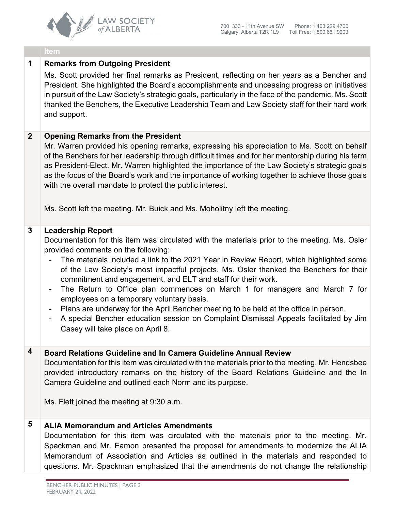

### **1 Remarks from Outgoing President**

Ms. Scott provided her final remarks as President, reflecting on her years as a Bencher and President. She highlighted the Board's accomplishments and unceasing progress on initiatives in pursuit of the Law Society's strategic goals, particularly in the face of the pandemic. Ms. Scott thanked the Benchers, the Executive Leadership Team and Law Society staff for their hard work and support.

#### **2 Opening Remarks from the President**

Mr. Warren provided his opening remarks, expressing his appreciation to Ms. Scott on behalf of the Benchers for her leadership through difficult times and for her mentorship during his term as President-Elect. Mr. Warren highlighted the importance of the Law Society's strategic goals as the focus of the Board's work and the importance of working together to achieve those goals with the overall mandate to protect the public interest.

Ms. Scott left the meeting. Mr. Buick and Ms. Moholitny left the meeting.

#### **3 Leadership Report**

Documentation for this item was circulated with the materials prior to the meeting. Ms. Osler provided comments on the following:

- The materials included a link to the 2021 Year in Review Report, which highlighted some of the Law Society's most impactful projects. Ms. Osler thanked the Benchers for their commitment and engagement, and ELT and staff for their work.
- The Return to Office plan commences on March 1 for managers and March 7 for employees on a temporary voluntary basis.
- Plans are underway for the April Bencher meeting to be held at the office in person.
- A special Bencher education session on Complaint Dismissal Appeals facilitated by Jim Casey will take place on April 8.

# **4 Board Relations Guideline and In Camera Guideline Annual Review**

Documentation for this item was circulated with the materials prior to the meeting. Mr. Hendsbee provided introductory remarks on the history of the Board Relations Guideline and the In Camera Guideline and outlined each Norm and its purpose.

Ms. Flett joined the meeting at 9:30 a.m.

# **5 ALIA Memorandum and Articles Amendments**

Documentation for this item was circulated with the materials prior to the meeting. Mr. Spackman and Mr. Eamon presented the proposal for amendments to modernize the ALIA Memorandum of Association and Articles as outlined in the materials and responded to questions. Mr. Spackman emphasized that the amendments do not change the relationship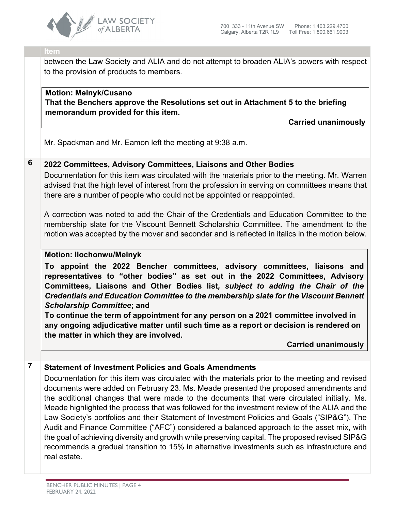

between the Law Society and ALIA and do not attempt to broaden ALIA's powers with respect to the provision of products to members.

## **Motion: Melnyk/Cusano That the Benchers approve the Resolutions set out in Attachment 5 to the briefing memorandum provided for this item.**

**Carried unanimously**

Mr. Spackman and Mr. Eamon left the meeting at 9:38 a.m.

# **6 2022 Committees, Advisory Committees, Liaisons and Other Bodies**

Documentation for this item was circulated with the materials prior to the meeting. Mr. Warren advised that the high level of interest from the profession in serving on committees means that there are a number of people who could not be appointed or reappointed.

A correction was noted to add the Chair of the Credentials and Education Committee to the membership slate for the Viscount Bennett Scholarship Committee. The amendment to the motion was accepted by the mover and seconder and is reflected in italics in the motion below.

#### **Motion: Ilochonwu/Melnyk**

**To appoint the 2022 Bencher committees, advisory committees, liaisons and representatives to "other bodies" as set out in the 2022 Committees, Advisory Committees, Liaisons and Other Bodies list***, subject to adding the Chair of the Credentials and Education Committee to the membership slate for the Viscount Bennett Scholarship Committee***; and**

**To continue the term of appointment for any person on a 2021 committee involved in any ongoing adjudicative matter until such time as a report or decision is rendered on the matter in which they are involved.**

**Carried unanimously**

# **7 Statement of Investment Policies and Goals Amendments**

Documentation for this item was circulated with the materials prior to the meeting and revised documents were added on February 23. Ms. Meade presented the proposed amendments and the additional changes that were made to the documents that were circulated initially. Ms. Meade highlighted the process that was followed for the investment review of the ALIA and the Law Society's portfolios and their Statement of Investment Policies and Goals ("SIP&G"). The Audit and Finance Committee ("AFC") considered a balanced approach to the asset mix, with the goal of achieving diversity and growth while preserving capital. The proposed revised SIP&G recommends a gradual transition to 15% in alternative investments such as infrastructure and real estate.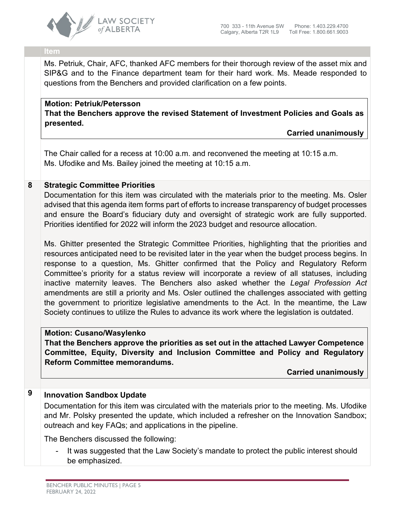

Ms. Petriuk, Chair, AFC, thanked AFC members for their thorough review of the asset mix and SIP&G and to the Finance department team for their hard work. Ms. Meade responded to questions from the Benchers and provided clarification on a few points.

# **Motion: Petriuk/Petersson**

**That the Benchers approve the revised Statement of Investment Policies and Goals as presented.**

**Carried unanimously**

The Chair called for a recess at 10:00 a.m. and reconvened the meeting at 10:15 a.m. Ms. Ufodike and Ms. Bailey joined the meeting at 10:15 a.m.

#### **8 Strategic Committee Priorities**

Documentation for this item was circulated with the materials prior to the meeting. Ms. Osler advised that this agenda item forms part of efforts to increase transparency of budget processes and ensure the Board's fiduciary duty and oversight of strategic work are fully supported. Priorities identified for 2022 will inform the 2023 budget and resource allocation.

Ms. Ghitter presented the Strategic Committee Priorities, highlighting that the priorities and resources anticipated need to be revisited later in the year when the budget process begins. In response to a question, Ms. Ghitter confirmed that the Policy and Regulatory Reform Committee's priority for a status review will incorporate a review of all statuses, including inactive maternity leaves. The Benchers also asked whether the *Legal Profession Act*  amendments are still a priority and Ms. Osler outlined the challenges associated with getting the government to prioritize legislative amendments to the Act. In the meantime, the Law Society continues to utilize the Rules to advance its work where the legislation is outdated.

#### **Motion: Cusano/Wasylenko**

**That the Benchers approve the priorities as set out in the attached Lawyer Competence Committee, Equity, Diversity and Inclusion Committee and Policy and Regulatory Reform Committee memorandums.**

**Carried unanimously**

# **9 Innovation Sandbox Update**

Documentation for this item was circulated with the materials prior to the meeting. Ms. Ufodike and Mr. Polsky presented the update, which included a refresher on the Innovation Sandbox; outreach and key FAQs; and applications in the pipeline.

The Benchers discussed the following:

It was suggested that the Law Society's mandate to protect the public interest should be emphasized.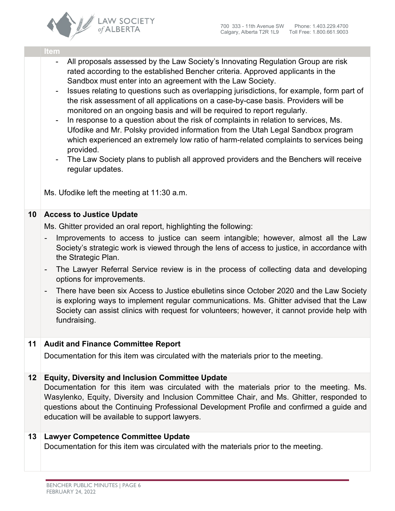

- All proposals assessed by the Law Society's Innovating Regulation Group are risk rated according to the established Bencher criteria. Approved applicants in the Sandbox must enter into an agreement with the Law Society.
- Issues relating to questions such as overlapping jurisdictions, for example, form part of the risk assessment of all applications on a case-by-case basis. Providers will be monitored on an ongoing basis and will be required to report regularly.
- In response to a question about the risk of complaints in relation to services, Ms. Ufodike and Mr. Polsky provided information from the Utah Legal Sandbox program which experienced an extremely low ratio of harm-related complaints to services being provided.
- The Law Society plans to publish all approved providers and the Benchers will receive regular updates.

Ms. Ufodike left the meeting at 11:30 a.m.

#### **10 Access to Justice Update**

Ms. Ghitter provided an oral report, highlighting the following:

- Improvements to access to justice can seem intangible; however, almost all the Law Society's strategic work is viewed through the lens of access to justice, in accordance with the Strategic Plan.
- The Lawyer Referral Service review is in the process of collecting data and developing options for improvements.
- There have been six Access to Justice ebulletins since October 2020 and the Law Society is exploring ways to implement regular communications. Ms. Ghitter advised that the Law Society can assist clinics with request for volunteers; however, it cannot provide help with fundraising.

# **11 Audit and Finance Committee Report**

Documentation for this item was circulated with the materials prior to the meeting.

# **12 Equity, Diversity and Inclusion Committee Update**

Documentation for this item was circulated with the materials prior to the meeting. Ms. Wasylenko, Equity, Diversity and Inclusion Committee Chair, and Ms. Ghitter, responded to questions about the Continuing Professional Development Profile and confirmed a guide and education will be available to support lawyers.

#### **13 Lawyer Competence Committee Update**

Documentation for this item was circulated with the materials prior to the meeting.